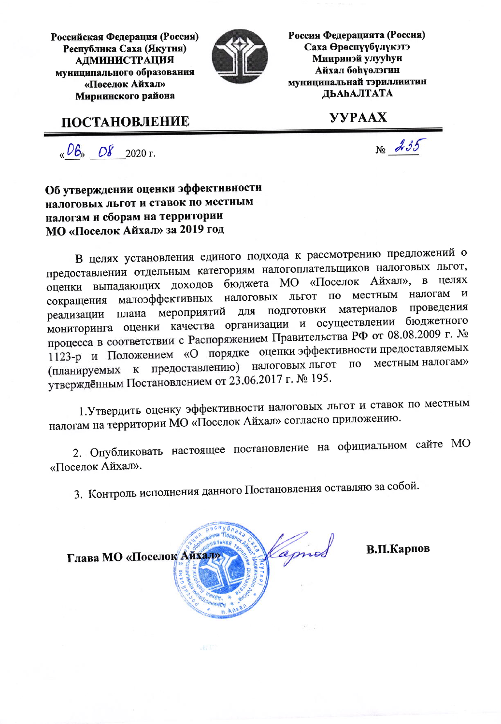Российская Федерация (Россия) Республика Саха (Якутия) **АДМИНИСТРАЦИЯ** муниципального образования «Поселок Айхал» Мирнинского района

**ПОСТАНОВЛЕНИЕ** 



Россия Федерацията (Россия) Саха Өрөспүүбүлүкэтэ **Мииринэй улууһун Айхал бөһүөлэгин** муниципальнай тэриллиитин ДЬАЬАЛТАТА

**YYPAAX** 

 $\sqrt{6}$  O8 2020 r.

 $N<sub>2</sub>$   $\lambda$  35

Об утверждении оценки эффективности налоговых льгот и ставок по местным налогам и сборам на территории МО «Поселок Айхал» за 2019 год

В целях установления единого подхода к рассмотрению предложений о предоставлении отдельным категориям налогоплательщиков налоговых льгот, оценки выпадающих доходов бюджета МО «Поселок Айхал», в целях налогам  $\mathbf{M}$ малоэффективных налоговых льгот по местным сокращения подготовки материалов проведения плана мероприятий для реализации мониторинга оценки качества организации и осуществлении бюджетного процесса в соответствии с Распоряжением Правительства РФ от 08.08.2009 г. № 1123-р и Положением «О порядке оценки эффективности предоставляемых местным налогам» предоставлению) налоговых льгот  $\Pi$ O (планируемых к утверждённым Постановлением от 23.06.2017 г. № 195.

1. Утвердить оценку эффективности налоговых льгот и ставок по местным налогам на территории МО «Поселок Айхал» согласно приложению.

2. Опубликовать настоящее постановление на официальном сайте МО «Поселок Айхал».

3. Контроль исполнения данного Постановления оставляю за собой.



В.П.Карпов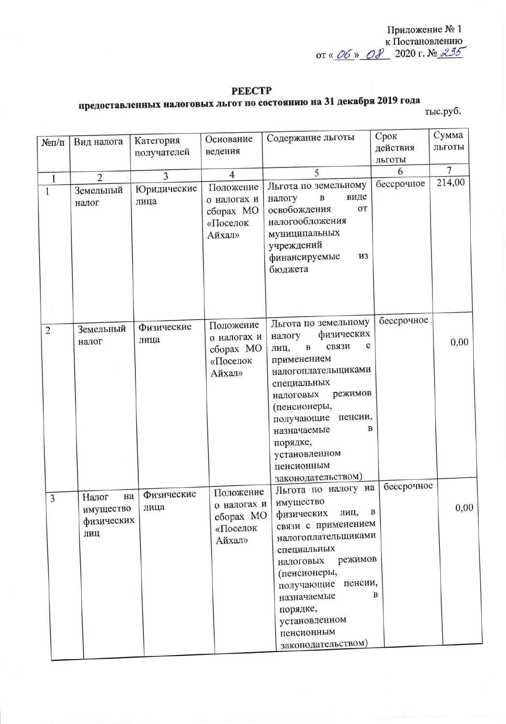Приложение № 1 **EXECUTE 1**<br>K DOCTAHOBJICHING<br>TO WARD 2020 F. No. 235

#### **PEECTP**

# предоставленных налоговых льгот по состоянию на 31 декабря 2019 года

тыс.руб.

|                                |                                               | Категория           | Основание                                                   | Содержание льготы                                                                                                                                                                                               | Срок       | Сумма          |
|--------------------------------|-----------------------------------------------|---------------------|-------------------------------------------------------------|-----------------------------------------------------------------------------------------------------------------------------------------------------------------------------------------------------------------|------------|----------------|
| $N$ <sup>o</sup> $\Pi$ / $\Pi$ | Вид налога                                    | получателей         | ведения                                                     |                                                                                                                                                                                                                 | действия   | льготы         |
|                                |                                               |                     |                                                             |                                                                                                                                                                                                                 | льготы     |                |
| $\mathbf{1}$                   | $\overline{2}$                                | 3                   | $\overline{4}$                                              | 5                                                                                                                                                                                                               | 6          | $\overline{7}$ |
| $\mathbf{1}$                   | Земельный<br>налог                            | Юридические<br>лица | Положение<br>о налогах и                                    | Льгота по земельному<br>виде<br>$\, {\bf B}$<br>налогу                                                                                                                                                          | бессрочное | 214,00         |
|                                |                                               |                     | сборах МО<br>«Поселок<br>Aйхал»                             | освобождения<br><b>OT</b><br>налогообложения<br>муниципальных<br>учреждений<br><b>ИЗ</b><br>финансируемые<br>бюджета                                                                                            |            |                |
| $\overline{2}$                 | Земельный                                     | Физические          | Положение                                                   | Льгота по земельному                                                                                                                                                                                            | бессрочное |                |
|                                | налог                                         | лица                | о налогах и<br>сборах МО<br>«Поселок                        | физических<br>налогу<br>$\mathbf c$<br>связи<br>$\, {\bf B}$<br>лиц,<br>применением                                                                                                                             |            | 0,00           |
|                                |                                               |                     | Aйхал»                                                      | налогоплательщиками<br>специальных<br>режимов<br>налоговых<br>(пенсионеры,<br>пенсии,<br>получающие<br>в<br>назначаемые<br>порядке,<br>установленном<br>пенсионным<br>законодательством)                        | бессрочное |                |
| 3                              | на<br>Налог<br>имущество<br>физических<br>лиц | Физические<br>лица  | Положение<br>о налогах и<br>сборах МО<br>«Поселок<br>Айхал» | Льгота по налогу на<br>имущество<br>физических<br>лиц,<br>связи с применением<br>налогоплательщиками<br>специальных<br>режимов<br>налоговых<br>(пенсионеры,<br>пенсии,<br>получающие<br>назначаемые<br>порядке, | B<br>В     | 0,00           |
|                                |                                               |                     |                                                             | установленном<br>пенсионным<br>законодательством)                                                                                                                                                               |            |                |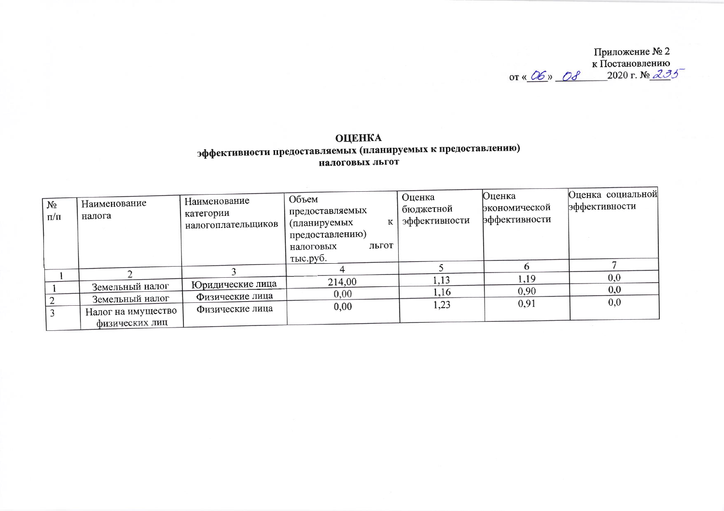Приложение № 2<br>
к Постановлению<br>
от « *Об*» *ОЗ* 2020 г. № 235

## **ОЦЕНКА** эффективности предоставляемых (планируемых к предоставлению) налоговых льгот

| N <sub>2</sub><br>$\Pi/\Pi$ | Наименование<br>налога | Наименование<br>категории<br>налогоплательщиков | Объем<br>предоставляемых<br>(планируемых<br>предоставлению)<br>льгот<br>налоговых<br>тыс.руб. | Оценка<br>бюджетной<br>эффективности | <b>Оценка</b><br>экономической<br>эффективности | Оценка социальной<br>эффективности |
|-----------------------------|------------------------|-------------------------------------------------|-----------------------------------------------------------------------------------------------|--------------------------------------|-------------------------------------------------|------------------------------------|
|                             |                        |                                                 |                                                                                               |                                      |                                                 |                                    |
|                             |                        |                                                 | 214,00                                                                                        | 1,13                                 | 1,19                                            | 0,0                                |
|                             | Земельный налог        | Юридические лица                                | 0.00                                                                                          | 1,16                                 | 0.90                                            | 0,0                                |
|                             | Земельный налог        | Физические лица                                 |                                                                                               |                                      | 0,91                                            | 0,0                                |
|                             | Налог на имущество     | Физические лица                                 | 0,00                                                                                          | 1,23                                 |                                                 |                                    |
|                             | физических лип         |                                                 |                                                                                               |                                      |                                                 |                                    |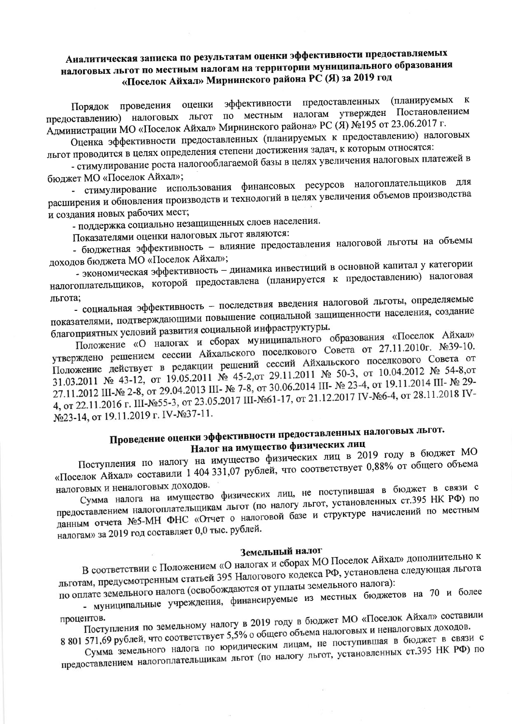## Аналитическая записка по результатам оценки эффективности предоставляемых налоговых льгот по местным налогам на территории муниципального образования «Поселок Айхал» Мирнинского района РС (Я) за 2019 год

Порядок проведения оценки эффективности предоставленных (планируемых к предоставлению) налоговых льгот по местным налогам утвержден Постановлением Администрации МО «Поселок Айхал» Мирнинского района» РС (Я) №195 от 23.06.2017 г.

Оценка эффективности предоставленных (планируемых к предоставлению) налоговых льгот проводится в целях определения степени достижения задач, к которым относятся:

- стимулирование роста налогооблагаемой базы в целях увеличения налоговых платежей в бюджет МО «Поселок Айхал»;

- стимулирование использования финансовых ресурсов налогоплательщиков для расширения и обновления производств и технологий в целях увеличения объемов производства и создания новых рабочих мест;

- поддержка социально незащищенных слоев населения.

Показателями оценки налоговых льгот являются:

- бюджетная эффективность - влияние предоставления налоговой льготы на объемы доходов бюджета МО «Поселок Айхал»;

- экономическая эффективность - динамика инвестиций в основной капитал у категории налогоплательщиков, которой предоставлена (планируется к предоставлению) налоговая

- социальная эффективность - последствия введения налоговой льготы, определяемые льгота; показателями, подтверждающими повышение социальной защищенности населения, создание благоприятных условий развития социальной инфраструктуры.

Положение «О налогах и сборах муниципального образования «Поселок Айхал» утверждено решением сессии Айхальского поселкового Совета от 27.11.2010г. №39-10. Положение действует в редакции решений сессий Айхальского поселкового Совета от 31.03.2011 № 43-12, от 19.05.2011 № 45-2, от 29.11.2011 № 50-3, от 10.04.2012 № 54-8, от 27.11.2012 III-№ 2-8, от 29.04.2013 III- № 7-8, от 30.06.2014 III- № 23-4, от 19.11.2014 III- № 29-4, or 22.11.2016 г. III-№55-3, от 23.05.2017 III-№61-17, от 21.12.2017 IV-№6-4, от 28.11.2018 IV-№23-14, от 19.11.2019 г. IV-№37-11.

## Проведение оценки эффективности предоставленных налоговых льгот. Налог на имущество физических лиц

Поступления по налогу на имущество физических лиц в 2019 году в бюджет МО «Поселок Айхал» составили 1 404 331,07 рублей, что соответствует 0,88% от общего объема налоговых и неналоговых доходов.

Сумма налога на имущество физических лиц, не поступившая в бюджет в связи с предоставлением налогоплательщикам льгот (по налогу льгот, установленных ст.395 НК РФ) по данным отчета №5-МН ФНС «Отчет о налоговой базе и структуре начислений по местным налогам» за 2019 год составляет 0,0 тыс. рублей.

## Земельный налог

В соответствии с Положением «О налогах и сборах МО Поселок Айхал» дополнительно к льготам, предусмотренным статьей 395 Налогового кодекса РФ, установлена следующая льгота по оплате земельного налога (освобождаются от уплаты земельного налога):

- муниципальные учреждения, финансируемые из местных бюджетов на 70 и более

Поступления по земельному налогу в 2019 году в бюджет МО «Поселок Айхал» составили процентов. 8 801 571,69 рублей, что соответствует 5,5% о общего объема налоговых и неналоговых доходов.

Сумма земельного налога по юридическим лицам, не поступившая в бюджет в связи с предоставлением налогоплательщикам льгот (по налогу льгот, установленных ст.395 НК РФ) по